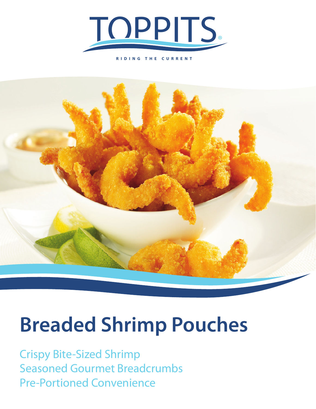

**RIDING THE CURRENT**



# **Breaded Shrimp Pouches**

Crispy Bite-Sized Shrimp Seasoned Gourmet Breadcrumbs Pre-Portioned Convenience